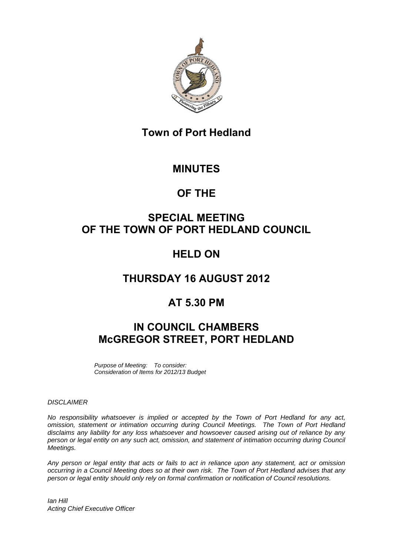

### **Town of Port Hedland**

### **MINUTES**

# **OF THE**

# **SPECIAL MEETING OF THE TOWN OF PORT HEDLAND COUNCIL**

# **HELD ON**

# **THURSDAY 16 AUGUST 2012**

# **AT 5.30 PM**

# **IN COUNCIL CHAMBERS McGREGOR STREET, PORT HEDLAND**

*Purpose of Meeting: To consider: Consideration of Items for 2012/13 Budget*

#### *DISCLAIMER*

*No responsibility whatsoever is implied or accepted by the Town of Port Hedland for any act, omission, statement or intimation occurring during Council Meetings. The Town of Port Hedland disclaims any liability for any loss whatsoever and howsoever caused arising out of reliance by any person or legal entity on any such act, omission, and statement of intimation occurring during Council Meetings.*

*Any person or legal entity that acts or fails to act in reliance upon any statement, act or omission occurring in a Council Meeting does so at their own risk. The Town of Port Hedland advises that any person or legal entity should only rely on formal confirmation or notification of Council resolutions.*

*Ian Hill Acting Chief Executive Officer*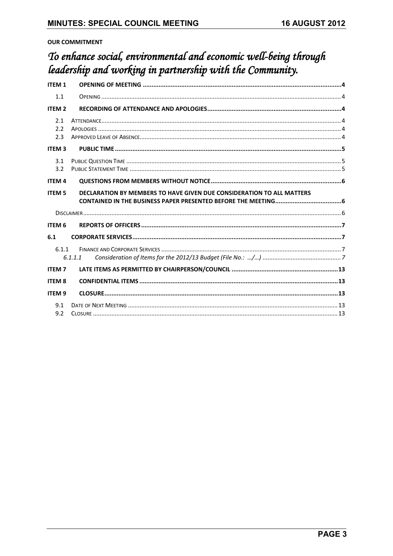#### **OUR COMMITMENT**

# To enhance social, environmental and economic well-being through leadership and working in partnership with the Community.

| <b>ITEM1</b>      |                                                                       |  |
|-------------------|-----------------------------------------------------------------------|--|
| 1.1               |                                                                       |  |
| <b>ITEM 2</b>     |                                                                       |  |
| 2.1<br>2.2<br>2.3 |                                                                       |  |
| <b>ITEM3</b>      |                                                                       |  |
| 3.1<br>3.2        |                                                                       |  |
| <b>ITEM 4</b>     |                                                                       |  |
| <b>ITEM 5</b>     | DECLARATION BY MEMBERS TO HAVE GIVEN DUE CONSIDERATION TO ALL MATTERS |  |
| ITEM <sub>6</sub> |                                                                       |  |
| 6.1               |                                                                       |  |
| 6.1.1             | 6.1.1.1                                                               |  |
| <b>ITEM7</b>      |                                                                       |  |
| <b>ITEM 8</b>     |                                                                       |  |
| <b>ITEM 9</b>     |                                                                       |  |
| 9.1<br>9.2        |                                                                       |  |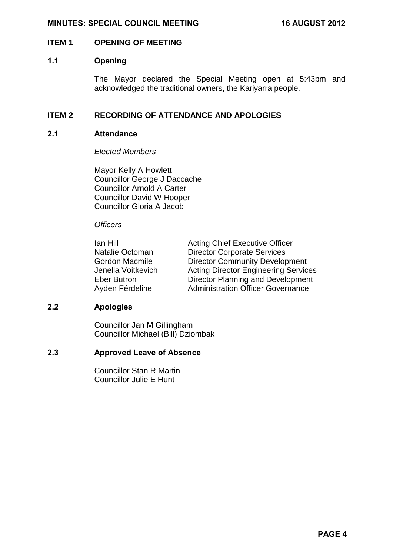#### <span id="page-3-0"></span>**ITEM 1 OPENING OF MEETING**

#### <span id="page-3-1"></span>**1.1 Opening**

The Mayor declared the Special Meeting open at 5:43pm and acknowledged the traditional owners, the Kariyarra people.

#### <span id="page-3-2"></span>**ITEM 2 RECORDING OF ATTENDANCE AND APOLOGIES**

#### <span id="page-3-3"></span>**2.1 Attendance**

*Elected Members*

Mayor Kelly A Howlett Councillor George J Daccache Councillor Arnold A Carter Councillor David W Hooper Councillor Gloria A Jacob

#### *Officers*

| lan Hill              | <b>Acting Chief Executive Officer</b>       |
|-----------------------|---------------------------------------------|
| Natalie Octoman       | <b>Director Corporate Services</b>          |
| <b>Gordon Macmile</b> | <b>Director Community Development</b>       |
| Jenella Voitkevich    | <b>Acting Director Engineering Services</b> |
| <b>Eber Butron</b>    | Director Planning and Development           |
| Ayden Férdeline       | <b>Administration Officer Governance</b>    |

#### <span id="page-3-4"></span>**2.2 Apologies**

Councillor Jan M Gillingham Councillor Michael (Bill) Dziombak

### <span id="page-3-6"></span><span id="page-3-5"></span>**2.3 Approved Leave of Absence**

Councillor Stan R Martin Councillor Julie E Hunt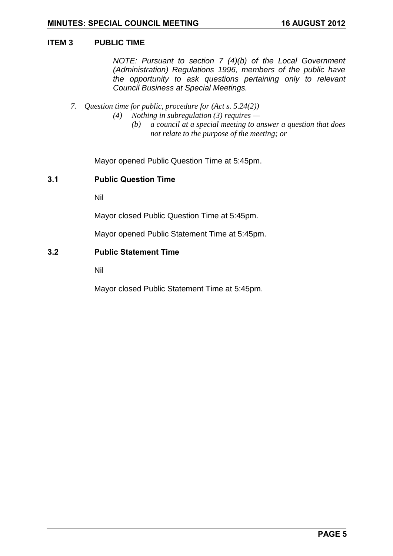#### **ITEM 3 PUBLIC TIME**

*NOTE: Pursuant to section 7 (4)(b) of the Local Government (Administration) Regulations 1996, members of the public have the opportunity to ask questions pertaining only to relevant Council Business at Special Meetings.*

- *7. Question time for public, procedure for (Act s. 5.24(2))*
	- *(4) Nothing in subregulation (3) requires —*
		- *(b) a council at a special meeting to answer a question that does not relate to the purpose of the meeting; or*

Mayor opened Public Question Time at 5:45pm.

#### <span id="page-4-0"></span>**3.1 Public Question Time**

Nil

Mayor closed Public Question Time at 5:45pm.

Mayor opened Public Statement Time at 5:45pm.

#### <span id="page-4-1"></span>**3.2 Public Statement Time**

Nil

Mayor closed Public Statement Time at 5:45pm.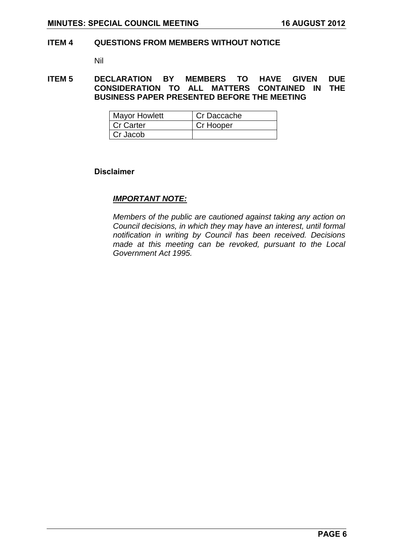#### <span id="page-5-0"></span>**ITEM 4 QUESTIONS FROM MEMBERS WITHOUT NOTICE**

Nil

<span id="page-5-1"></span>**ITEM 5 DECLARATION BY MEMBERS TO HAVE GIVEN DUE CONSIDERATION TO ALL MATTERS CONTAINED IN THE BUSINESS PAPER PRESENTED BEFORE THE MEETING**

| <b>Mayor Howlett</b> | Cr Daccache |
|----------------------|-------------|
| <b>Cr Carter</b>     | Cr Hooper   |
| Cr Jacob             |             |

#### <span id="page-5-2"></span>**Disclaimer**

#### *IMPORTANT NOTE:*

*Members of the public are cautioned against taking any action on Council decisions, in which they may have an interest, until formal notification in writing by Council has been received. Decisions made at this meeting can be revoked, pursuant to the Local Government Act 1995.*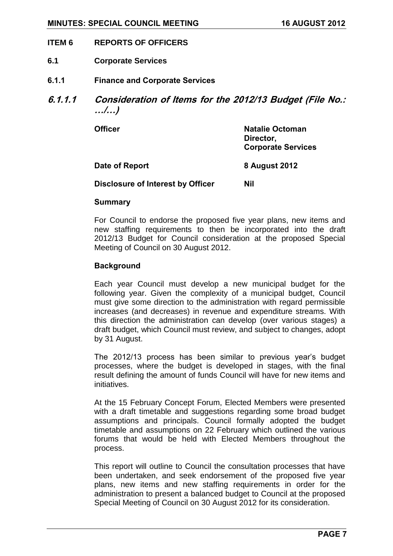#### <span id="page-6-0"></span>**ITEM 6 REPORTS OF OFFICERS**

- <span id="page-6-1"></span>**6.1 Corporate Services**
- <span id="page-6-2"></span>**6.1.1 Finance and Corporate Services**
- <span id="page-6-3"></span>**6.1.1.1 Consideration of Items for the 2012/13 Budget (File No.: …/…)**

| <b>Officer</b>                           | <b>Natalie Octoman</b><br>Director,<br><b>Corporate Services</b> |
|------------------------------------------|------------------------------------------------------------------|
| Date of Report                           | 8 August 2012                                                    |
| <b>Disclosure of Interest by Officer</b> | Nil                                                              |

#### **Summary**

For Council to endorse the proposed five year plans, new items and new staffing requirements to then be incorporated into the draft 2012/13 Budget for Council consideration at the proposed Special Meeting of Council on 30 August 2012.

#### **Background**

Each year Council must develop a new municipal budget for the following year. Given the complexity of a municipal budget, Council must give some direction to the administration with regard permissible increases (and decreases) in revenue and expenditure streams. With this direction the administration can develop (over various stages) a draft budget, which Council must review, and subject to changes, adopt by 31 August.

The 2012/13 process has been similar to previous year's budget processes, where the budget is developed in stages, with the final result defining the amount of funds Council will have for new items and initiatives.

At the 15 February Concept Forum, Elected Members were presented with a draft timetable and suggestions regarding some broad budget assumptions and principals. Council formally adopted the budget timetable and assumptions on 22 February which outlined the various forums that would be held with Elected Members throughout the process.

This report will outline to Council the consultation processes that have been undertaken, and seek endorsement of the proposed five year plans, new items and new staffing requirements in order for the administration to present a balanced budget to Council at the proposed Special Meeting of Council on 30 August 2012 for its consideration.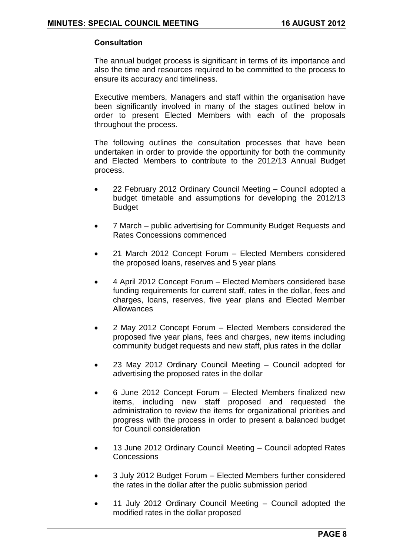#### **Consultation**

The annual budget process is significant in terms of its importance and also the time and resources required to be committed to the process to ensure its accuracy and timeliness.

Executive members, Managers and staff within the organisation have been significantly involved in many of the stages outlined below in order to present Elected Members with each of the proposals throughout the process.

The following outlines the consultation processes that have been undertaken in order to provide the opportunity for both the community and Elected Members to contribute to the 2012/13 Annual Budget process.

- 22 February 2012 Ordinary Council Meeting Council adopted a budget timetable and assumptions for developing the 2012/13 Budget
- 7 March public advertising for Community Budget Requests and Rates Concessions commenced
- 21 March 2012 Concept Forum Elected Members considered the proposed loans, reserves and 5 year plans
- 4 April 2012 Concept Forum Elected Members considered base funding requirements for current staff, rates in the dollar, fees and charges, loans, reserves, five year plans and Elected Member Allowances
- 2 May 2012 Concept Forum Elected Members considered the proposed five year plans, fees and charges, new items including community budget requests and new staff, plus rates in the dollar
- 23 May 2012 Ordinary Council Meeting Council adopted for advertising the proposed rates in the dollar
- 6 June 2012 Concept Forum Elected Members finalized new items, including new staff proposed and requested the administration to review the items for organizational priorities and progress with the process in order to present a balanced budget for Council consideration
- 13 June 2012 Ordinary Council Meeting Council adopted Rates **Concessions**
- 3 July 2012 Budget Forum Elected Members further considered the rates in the dollar after the public submission period
- 11 July 2012 Ordinary Council Meeting Council adopted the modified rates in the dollar proposed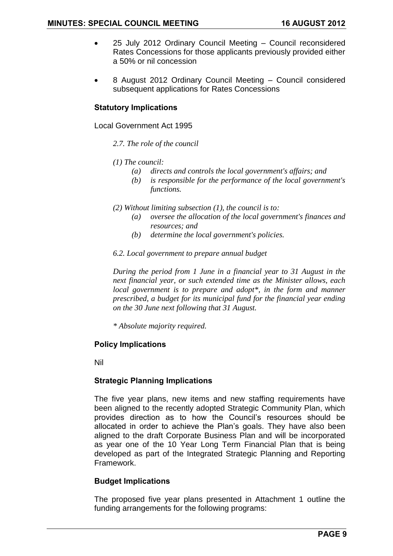- 25 July 2012 Ordinary Council Meeting Council reconsidered Rates Concessions for those applicants previously provided either a 50% or nil concession
- 8 August 2012 Ordinary Council Meeting Council considered subsequent applications for Rates Concessions

#### **Statutory Implications**

Local Government Act 1995

*2.7. The role of the council* 

#### *(1) The council:*

- *(a) directs and controls the local government's affairs; and*
- *(b) is responsible for the performance of the local government's functions.*
- *(2) Without limiting subsection (1), the council is to:*
	- *(a) oversee the allocation of the local government's finances and resources; and*
	- *(b) determine the local government's policies.*
- *6.2. Local government to prepare annual budget*

*During the period from 1 June in a financial year to 31 August in the next financial year, or such extended time as the Minister allows, each local government is to prepare and adopt<sup>\*</sup>, in the form and manner prescribed, a budget for its municipal fund for the financial year ending on the 30 June next following that 31 August.* 

*\* Absolute majority required.* 

#### **Policy Implications**

Nil

#### **Strategic Planning Implications**

The five year plans, new items and new staffing requirements have been aligned to the recently adopted Strategic Community Plan, which provides direction as to how the Council's resources should be allocated in order to achieve the Plan's goals. They have also been aligned to the draft Corporate Business Plan and will be incorporated as year one of the 10 Year Long Term Financial Plan that is being developed as part of the Integrated Strategic Planning and Reporting Framework.

#### **Budget Implications**

The proposed five year plans presented in Attachment 1 outline the funding arrangements for the following programs: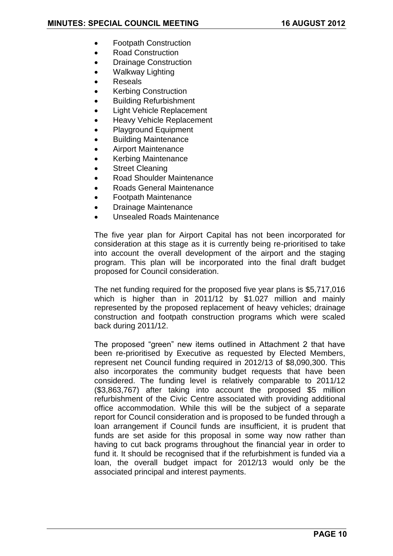- Footpath Construction
- Road Construction
- Drainage Construction
- Walkway Lighting
- Reseals
- Kerbing Construction
- Building Refurbishment
- Light Vehicle Replacement
- Heavy Vehicle Replacement
- Playground Equipment
- Building Maintenance
- Airport Maintenance
- Kerbing Maintenance
- Street Cleaning
- Road Shoulder Maintenance
- Roads General Maintenance
- Footpath Maintenance
- Drainage Maintenance
- Unsealed Roads Maintenance

The five year plan for Airport Capital has not been incorporated for consideration at this stage as it is currently being re-prioritised to take into account the overall development of the airport and the staging program. This plan will be incorporated into the final draft budget proposed for Council consideration.

The net funding required for the proposed five year plans is \$5,717,016 which is higher than in 2011/12 by \$1.027 million and mainly represented by the proposed replacement of heavy vehicles; drainage construction and footpath construction programs which were scaled back during 2011/12.

The proposed "green" new items outlined in Attachment 2 that have been re-prioritised by Executive as requested by Elected Members, represent net Council funding required in 2012/13 of \$8,090,300. This also incorporates the community budget requests that have been considered. The funding level is relatively comparable to 2011/12 (\$3,863,767) after taking into account the proposed \$5 million refurbishment of the Civic Centre associated with providing additional office accommodation. While this will be the subject of a separate report for Council consideration and is proposed to be funded through a loan arrangement if Council funds are insufficient, it is prudent that funds are set aside for this proposal in some way now rather than having to cut back programs throughout the financial year in order to fund it. It should be recognised that if the refurbishment is funded via a loan, the overall budget impact for 2012/13 would only be the associated principal and interest payments.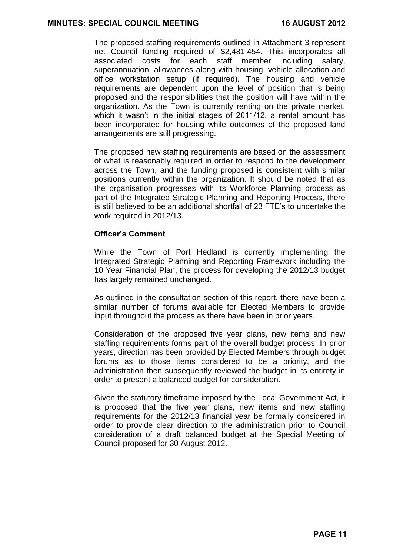The proposed staffing requirements outlined in Attachment 3 represent net Council funding required of \$2,481,454. This incorporates all associated costs for each staff member including salary, superannuation, allowances along with housing, vehicle allocation and office workstation setup (if required). The housing and vehicle requirements are dependent upon the level of position that is being proposed and the responsibilities that the position will have within the organization. As the Town is currently renting on the private market, which it wasn't in the initial stages of 2011/12, a rental amount has been incorporated for housing while outcomes of the proposed land arrangements are still progressing.

The proposed new staffing requirements are based on the assessment of what is reasonably required in order to respond to the development across the Town, and the funding proposed is consistent with similar positions currently within the organization. It should be noted that as the organisation progresses with its Workforce Planning process as part of the Integrated Strategic Planning and Reporting Process, there is still believed to be an additional shortfall of 23 FTE's to undertake the work required in 2012/13.

#### **Officer's Comment**

While the Town of Port Hedland is currently implementing the Integrated Strategic Planning and Reporting Framework including the 10 Year Financial Plan, the process for developing the 2012/13 budget has largely remained unchanged.

As outlined in the consultation section of this report, there have been a similar number of forums available for Elected Members to provide input throughout the process as there have been in prior years.

Consideration of the proposed five year plans, new items and new staffing requirements forms part of the overall budget process. In prior years, direction has been provided by Elected Members through budget forums as to those items considered to be a priority, and the administration then subsequently reviewed the budget in its entirety in order to present a balanced budget for consideration.

Given the statutory timeframe imposed by the Local Government Act, it is proposed that the five year plans, new items and new staffing requirements for the 2012/13 financial year be formally considered in order to provide clear direction to the administration prior to Council consideration of a draft balanced budget at the Special Meeting of Council proposed for 30 August 2012.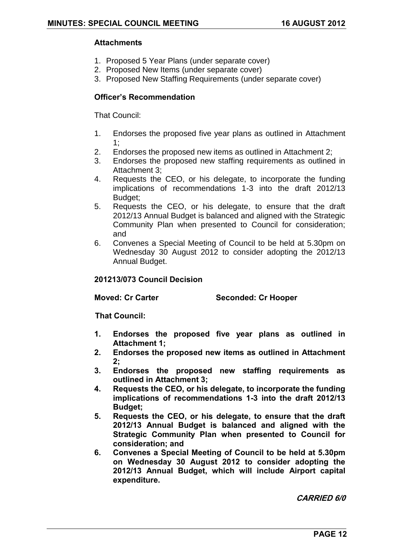#### **Attachments**

- 1. Proposed 5 Year Plans (under separate cover)
- 2. Proposed New Items (under separate cover)
- 3. Proposed New Staffing Requirements (under separate cover)

#### **Officer's Recommendation**

That Council:

- 1. Endorses the proposed five year plans as outlined in Attachment 1;
- 2. Endorses the proposed new items as outlined in Attachment 2;
- 3. Endorses the proposed new staffing requirements as outlined in Attachment 3;
- 4. Requests the CEO, or his delegate, to incorporate the funding implications of recommendations 1-3 into the draft 2012/13 Budget:
- 5. Requests the CEO, or his delegate, to ensure that the draft 2012/13 Annual Budget is balanced and aligned with the Strategic Community Plan when presented to Council for consideration; and
- 6. Convenes a Special Meeting of Council to be held at 5.30pm on Wednesday 30 August 2012 to consider adopting the 2012/13 Annual Budget.

### **201213/073 Council Decision**

**Moved: Cr Carter Seconded: Cr Hooper**

#### **That Council:**

- **1. Endorses the proposed five year plans as outlined in Attachment 1;**
- **2. Endorses the proposed new items as outlined in Attachment 2;**
- **3. Endorses the proposed new staffing requirements as outlined in Attachment 3;**
- **4. Requests the CEO, or his delegate, to incorporate the funding implications of recommendations 1-3 into the draft 2012/13 Budget;**
- **5. Requests the CEO, or his delegate, to ensure that the draft 2012/13 Annual Budget is balanced and aligned with the Strategic Community Plan when presented to Council for consideration; and**
- **6. Convenes a Special Meeting of Council to be held at 5.30pm on Wednesday 30 August 2012 to consider adopting the 2012/13 Annual Budget, which will include Airport capital expenditure.**

**CARRIED 6/0**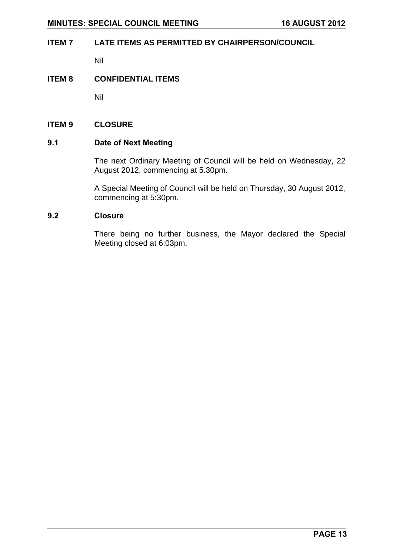#### <span id="page-12-0"></span>**ITEM 7 LATE ITEMS AS PERMITTED BY CHAIRPERSON/COUNCIL**

Nil

#### <span id="page-12-1"></span>**ITEM 8 CONFIDENTIAL ITEMS**

Nil

#### <span id="page-12-2"></span>**ITEM 9 CLOSURE**

#### <span id="page-12-3"></span>**9.1 Date of Next Meeting**

The next Ordinary Meeting of Council will be held on Wednesday, 22 August 2012, commencing at 5.30pm.

A Special Meeting of Council will be held on Thursday, 30 August 2012, commencing at 5:30pm.

#### <span id="page-12-4"></span>**9.2 Closure**

There being no further business, the Mayor declared the Special Meeting closed at 6:03pm.